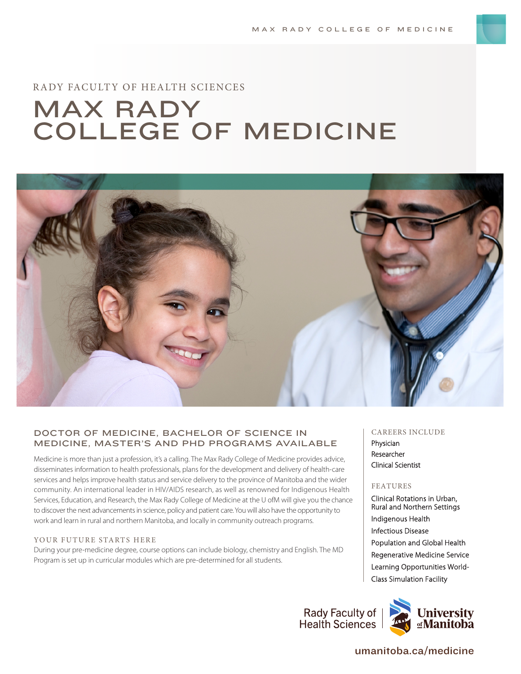# RADY FACULTY OF HEALTH SCIENCES

# MAX RADY COLLEGE OF MEDICINE



# DOCTOR OF MEDICINE, BACHELOR OF SCIENCE IN MEDICINE, MASTER'S AND PHD PROGRAMS AVAILABLE

Medicine is more than just a profession, it's a calling. The Max Rady College of Medicine provides advice, disseminates information to health professionals, plans for the development and delivery of health-care services and helps improve health status and service delivery to the province of Manitoba and the wider community. An international leader in HIV/AIDS research, as well as renowned for Indigenous Health Services, Education, and Research, the Max Rady College of Medicine at the U ofM will give you the chance to discover the next advancements in science, policy and patient care. You will also have the opportunity to work and learn in rural and northern Manitoba, and locally in community outreach programs.

#### YOUR FUTURE STARTS HERE

During your pre-medicine degree, course options can include biology, chemistry and English. The MD Program is set up in curricular modules which are pre-determined for all students.

#### CAREERS INCLUDE

Physician Researcher Clinical Scientist

#### FEATURES

Clinical Rotations in Urban, Rural and Northern Settings Indigenous Health Infectious Disease Population and Global Health Regenerative Medicine Service Learning Opportunities World-Class Simulation Facility

Rady Faculty of **Health Sciences** 



# umanitoba.ca/medicine